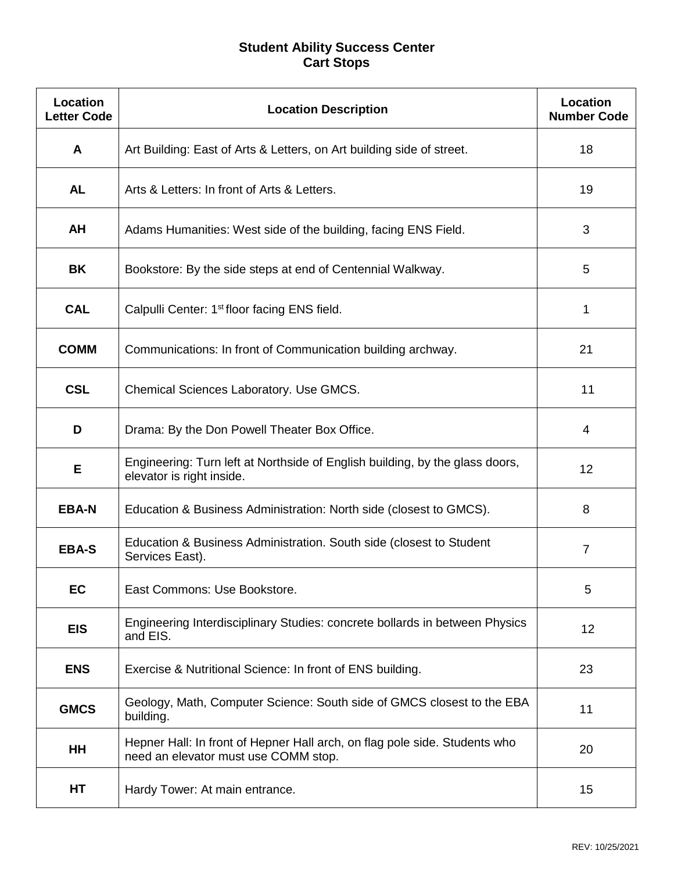## **Student Ability Success Center Cart Stops**

| Location<br><b>Letter Code</b> | <b>Location Description</b>                                                                                        | Location<br><b>Number Code</b> |
|--------------------------------|--------------------------------------------------------------------------------------------------------------------|--------------------------------|
| A                              | Art Building: East of Arts & Letters, on Art building side of street.                                              | 18                             |
| <b>AL</b>                      | Arts & Letters: In front of Arts & Letters.                                                                        | 19                             |
| AH                             | Adams Humanities: West side of the building, facing ENS Field.                                                     | 3                              |
| BK                             | Bookstore: By the side steps at end of Centennial Walkway.                                                         | 5                              |
| <b>CAL</b>                     | Calpulli Center: 1 <sup>st</sup> floor facing ENS field.                                                           | 1                              |
| <b>COMM</b>                    | Communications: In front of Communication building archway.                                                        | 21                             |
| <b>CSL</b>                     | Chemical Sciences Laboratory. Use GMCS.                                                                            | 11                             |
| D                              | Drama: By the Don Powell Theater Box Office.                                                                       | 4                              |
| Е                              | Engineering: Turn left at Northside of English building, by the glass doors,<br>elevator is right inside.          | 12                             |
| <b>EBA-N</b>                   | Education & Business Administration: North side (closest to GMCS).                                                 | 8                              |
| <b>EBA-S</b>                   | Education & Business Administration. South side (closest to Student<br>Services East).                             | 7                              |
| EC                             | East Commons: Use Bookstore.                                                                                       | 5                              |
| <b>EIS</b>                     | Engineering Interdisciplinary Studies: concrete bollards in between Physics<br>and EIS.                            | 12                             |
| <b>ENS</b>                     | Exercise & Nutritional Science: In front of ENS building.                                                          | 23                             |
| <b>GMCS</b>                    | Geology, Math, Computer Science: South side of GMCS closest to the EBA<br>building.                                | 11                             |
| HH                             | Hepner Hall: In front of Hepner Hall arch, on flag pole side. Students who<br>need an elevator must use COMM stop. | 20                             |
| HT                             | Hardy Tower: At main entrance.                                                                                     | 15                             |